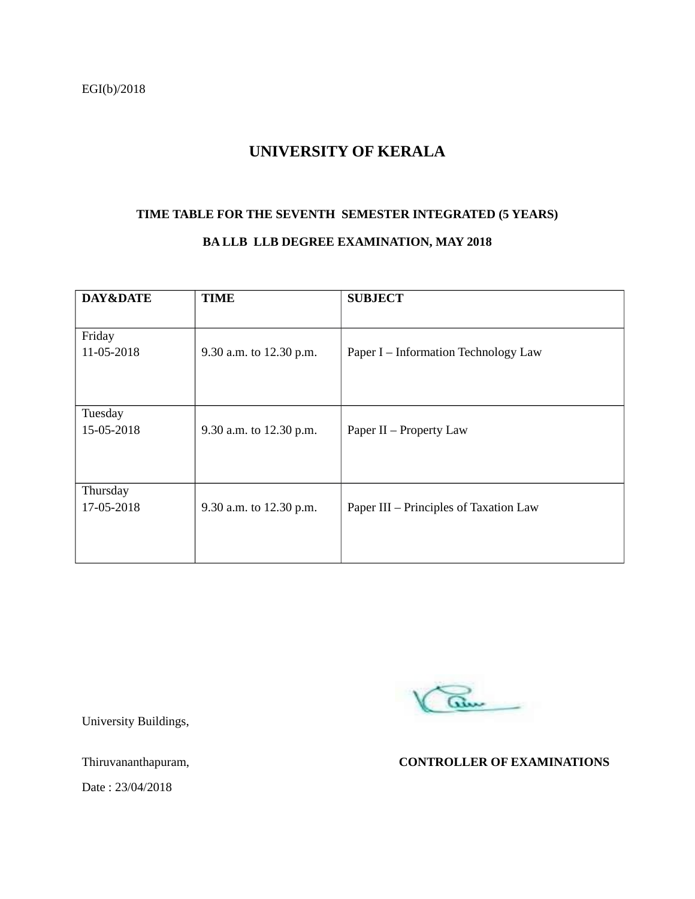# **UNIVERSITY OF KERALA**

# **TIME TABLE FOR THE SEVENTH SEMESTER INTEGRATED (5 YEARS)**

### **BA LLB LLB DEGREE EXAMINATION, MAY 2018**

| DAY&DATE   | <b>TIME</b>             | <b>SUBJECT</b>                         |
|------------|-------------------------|----------------------------------------|
|            |                         |                                        |
| Friday     |                         |                                        |
| 11-05-2018 | 9.30 a.m. to 12.30 p.m. | Paper I – Information Technology Law   |
|            |                         |                                        |
|            |                         |                                        |
| Tuesday    |                         |                                        |
|            |                         |                                        |
| 15-05-2018 | 9.30 a.m. to 12.30 p.m. | Paper II - Property Law                |
|            |                         |                                        |
|            |                         |                                        |
| Thursday   |                         |                                        |
| 17-05-2018 | 9.30 a.m. to 12.30 p.m. | Paper III - Principles of Taxation Law |
|            |                         |                                        |
|            |                         |                                        |
|            |                         |                                        |

am

University Buildings,

Thiruvananthapuram, **CONTROLLER OF EXAMINATIONS**

Date : 23/04/2018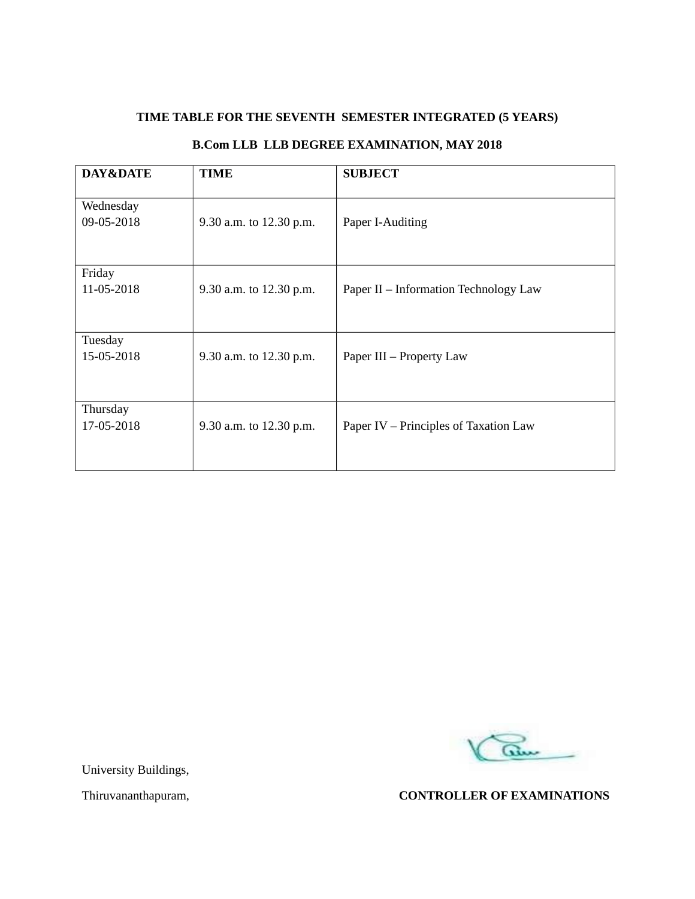# **TIME TABLE FOR THE SEVENTH SEMESTER INTEGRATED (5 YEARS)**

# **B.Com LLB LLB DEGREE EXAMINATION, MAY 2018**

| DAY&DATE                | <b>TIME</b>             | <b>SUBJECT</b>                        |
|-------------------------|-------------------------|---------------------------------------|
| Wednesday<br>09-05-2018 | 9.30 a.m. to 12.30 p.m. | Paper I-Auditing                      |
| Friday<br>11-05-2018    | 9.30 a.m. to 12.30 p.m. | Paper II – Information Technology Law |
| Tuesday<br>15-05-2018   | 9.30 a.m. to 12.30 p.m. | Paper III - Property Law              |
| Thursday<br>17-05-2018  | 9.30 a.m. to 12.30 p.m. | Paper IV – Principles of Taxation Law |



University Buildings,

Thiruvananthapuram, **CONTROLLER OF EXAMINATIONS**